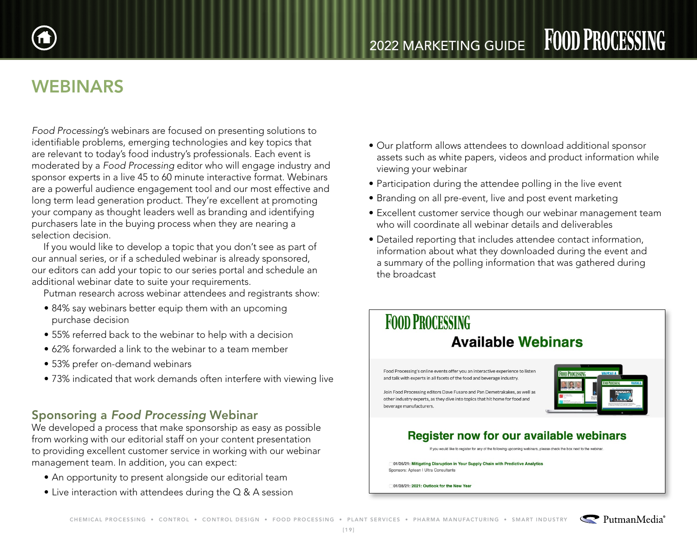

# WEBINARS

*Food Processing*'s webinars are focused on presenting solutions to identifiable problems, emerging technologies and key topics that are relevant to today's food industry's professionals. Each event is moderated by a *Food Processing* editor who will engage industry and sponsor experts in a live 45 to 60 minute interactive format. Webinars are a powerful audience engagement tool and our most effective and long term lead generation product. They're excellent at promoting your company as thought leaders well as branding and identifying purchasers late in the buying process when they are nearing a selection decision.

If you would like to develop a topic that you don't see as part of our annual series, or if a scheduled webinar is already sponsored, our editors can add your topic to our series portal and schedule an additional webinar date to suite your requirements.

Putman research across webinar attendees and registrants show:

- 84% say webinars better equip them with an upcoming purchase decision
- 55% referred back to the webinar to help with a decision
- 62% forwarded a link to the webinar to a team member
- 53% prefer on-demand webinars
- 73% indicated that work demands often interfere with viewing live

### Sponsoring a *Food Processing* Webinar

We developed a process that make sponsorship as easy as possible from working with our editorial staff on your content presentation to providing excellent customer service in working with our webinar management team. In addition, you can expect:

- An opportunity to present alongside our editorial team
- Live interaction with attendees during the Q & A session
- Our platform allows attendees to download additional sponsor assets such as white papers, videos and product information while viewing your webinar
- Participation during the attendee polling in the live event
- Branding on all pre-event, live and post event marketing
- Excellent customer service though our webinar management team who will coordinate all webinar details and deliverables
- Detailed reporting that includes attendee contact information, information about what they downloaded during the event and a summary of the polling information that was gathered during the broadcast

## **FOOD PROCESSING Available Webinars**

Food Processing's online events offer you an interactive experience to listen and talk with experts in all facets of the food and beverage industry. Join Food Processing editors Dave Fusaro and Pan Demetrakakes, as well as

other industry experts, as they dive into topics that hit home for food and



#### **Register now for our available webinars**

If you would like to register for any of the following upcoming webinars, please check the box next to the webina

01/26/21: Mitigating Disruption in Your Supply Chain with Predictive Analytics Sponsors: Aptean | Ultra Consultants

01/28/21: 2021: Outlook for the New Year

beverage manufacturers